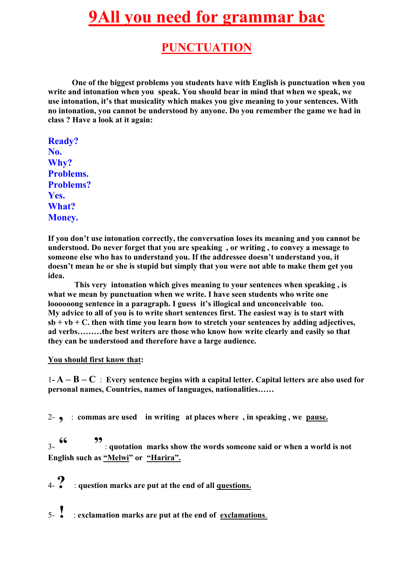# **9All you need for grammar bac**

# **PUNCTUATION**

**One of the biggest problems you students have with English is punctuation when you write and intonation when you speak. You should bear in mind that when we speak, we use intonation, it's that musicality which makes you give meaning to your sentences. With no intonation, you cannot be understood by anyone. Do you remember the game we had in class ? Have a look at it again:**

**Ready? No. Why? Problems. Problems? Yes. What? Money.**

**If you don't use intonation correctly, the conversation loses its meaning and you cannot be understood. Do never forget that you are speaking , or writing , to convey a message to someone else who has to understand you. If the addressee doesn't understand you, it doesn't mean he or she is stupid but simply that you were not able to make them get you idea.**

**This very intonation which gives meaning to your sentences when speaking , is what we mean by punctuation when we write. I have seen students who write one loooooong sentence in a paragraph. I guess it's illogical and unconceivable too. My advice to all of you is to write short sentences first. The easiest way is to start with sb + vb + C. then with time you learn how to stretch your sentences by adding adjectives, ad verbs………the best writers are those who know how write clearly and easily so that they can be understood and therefore have a large audience.**

**You should first know that:**

1**- A – B – C** : **Every sentence begins with a capital letter. Capital letters are also used for personal names, Countries, names of languages, nationalities……**

2- **,** : **commas are used in writing at places where , in speaking , we pause.**

3- **" "**: **quotation marks show the words someone said or when a world is not English such as "Melwi" or "Harira".**

4-**?** : **question marks are put at the end of all questions.**

5- **!** : **exclamation marks are put at the end of exclamations**.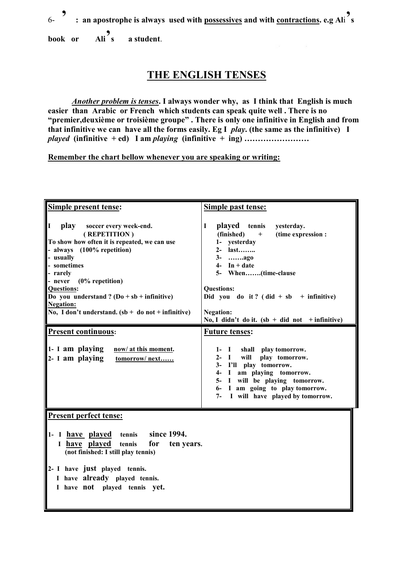6- **' : an apostrophe is always used with possessives and with contractions. e.g Al**i **' s book or Ali**<sup>9</sup><sub>s</sub> **' s a student**.

### **THE ENGLISH TENSES**

*Another problem is tenses***. I always wonder why, as I think that English is much easier than Arabic or French which students can speak quite well . There is no "premier,deuxième or troisième groupe" . There is only one infinitive in English and from that infinitive we can have all the forms easily. Eg I** *play***. (the same as the infinitive) I** *played* **(infinitive + ed) I am** *playing* **(infinitive + ing) ……………………**

**Remember the chart bellow whenever you are speaking or writing:**

| Simple present tense:                                                                                                                                                                                                                                                                                                                                   | Simple past tense:                                                                                                                                                                                                                                                                                                    |
|---------------------------------------------------------------------------------------------------------------------------------------------------------------------------------------------------------------------------------------------------------------------------------------------------------------------------------------------------------|-----------------------------------------------------------------------------------------------------------------------------------------------------------------------------------------------------------------------------------------------------------------------------------------------------------------------|
| II<br>play<br>soccer every week-end.<br>(REPETITION)<br>To show how often it is repeated, we can use<br>- always (100% repetition)<br>- usually<br>- sometimes<br>- rarely<br>- never $(0\%$ repetition)<br><b>Questions:</b><br>Do you understand ? $(Do + sb + infinitive)$<br><b>Negation:</b><br>No, I don't understand. $(sb + do not + infinite)$ | played tennis<br>I<br>yesterday.<br>(finished)<br>(time expression :<br>$+$<br>1- yesterday<br>2- last<br>3- ago<br>$4$ - In + date<br>5- When(time-clause<br><b>Questions:</b><br>Did you do it? $(\text{did} + \text{sb} + \text{infinite})$<br><b>Negation:</b><br>No, I didn't do it. $(sb + did not + infinite)$ |
| <b>Present continuous:</b>                                                                                                                                                                                                                                                                                                                              | <b>Future tenses:</b>                                                                                                                                                                                                                                                                                                 |
| 1- I am playing<br>now/ at this moment.<br>2- I am playing<br>tomorrow/next                                                                                                                                                                                                                                                                             | shall play tomorrow.<br>$1-$<br>$\mathbf I$<br>$2 -$<br>$\mathbf{I}$<br>will play tomorrow.<br>I'll play tomorrow.<br>$3-$<br>I am playing tomorrow.<br>$4-$<br>5- I will be playing tomorrow.<br>6- I am going to play tomorrow.<br>I will have played by tomorrow.<br>7-                                            |
| <b>Present perfect tense:</b><br>since 1994.<br>1- I have played tennis<br>I have played<br>tennis<br>for<br>ten years.<br>(not finished: I still play tennis)<br>2- I have just played tennis.<br>I have already played tennis.<br>I have not played tennis yet.                                                                                       |                                                                                                                                                                                                                                                                                                                       |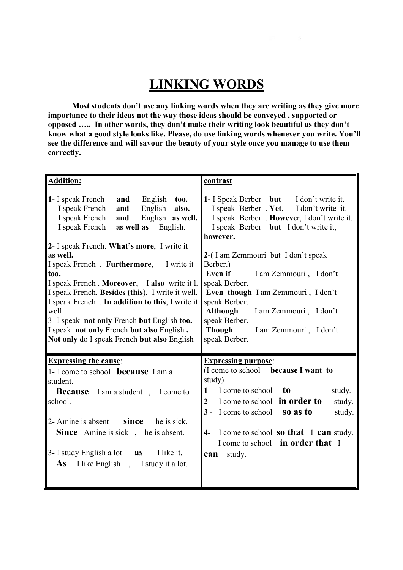# **LINKING WORDS**

**Most students don't use any linking words when they are writing as they give more importance to their ideas not the way those ideas should be conveyed , supported or opposed ….. In other words, they don't make their writing look beautiful as they don't know what a good style looks like. Please, do use linking words whenever you write. You'll see the difference and will savour the beauty of your style once you manage to use them correctly.**

| <b>Addition:</b>                                                                                                                                                                                                                                                                                                                                                                                                                                                                                                                                                                                     | contrast                                                                                                                                                                                                                                                                                                                                                                                                                                                                |  |
|------------------------------------------------------------------------------------------------------------------------------------------------------------------------------------------------------------------------------------------------------------------------------------------------------------------------------------------------------------------------------------------------------------------------------------------------------------------------------------------------------------------------------------------------------------------------------------------------------|-------------------------------------------------------------------------------------------------------------------------------------------------------------------------------------------------------------------------------------------------------------------------------------------------------------------------------------------------------------------------------------------------------------------------------------------------------------------------|--|
| 1- I speak French<br>English too.<br>and<br>English also.<br>I speak French<br>and<br>I speak French<br>English as well.<br>and<br>I speak French<br>as well as<br>English.<br>2- I speak French. What's more, I write it<br>as well.<br>I speak French. Furthermore, I write it<br>too.<br>I speak French. Moreover, I also write it l.<br>I speak French. Besides (this), I write it well.<br>I speak French . In addition to this, I write it<br>well.<br>3- I speak not only French but English too.<br>I speak not only French but also English.<br>Not only do I speak French but also English | 1- I Speak Berber but I don't write it.<br>I speak Berber . Yet, I don't write it.<br>I speak Berber . However, I don't write it.<br>I speak Berber but I don't write it,<br>however.<br>2-(I am Zemmouri but I don't speak<br>Berber.)<br>Even if<br>I am Zemmouri, I don't<br>speak Berber.<br>Even though I am Zemmouri, I don't<br>speak Berber.<br>Although<br>I am Zemmouri, I don't<br>speak Berber.<br><b>Though</b><br>I am Zemmouri, I don't<br>speak Berber. |  |
| <b>Expressing the cause:</b><br>1- I come to school <b>because</b> I am a<br>student.<br><b>Because</b> I am a student, I come to<br>school.<br>$2$ - Amine is absent since<br>he is sick.<br><b>Since</b> Amine is sick, he is absent.<br>I like it.<br>3- I study English a lot $\quad$ as<br><b>As</b> I like English, I study it a lot.                                                                                                                                                                                                                                                          | <b>Expressing purpose:</b><br>(I come to school because I want to<br>study)<br>1- I come to school<br>to<br>study.<br>2- I come to school in order to<br>study.<br>3 - I come to school so as to<br>study.<br>I come to school <b>so that</b> I <b>can</b> study.<br>$4-$<br>I come to school in order that I<br>study.<br>can                                                                                                                                          |  |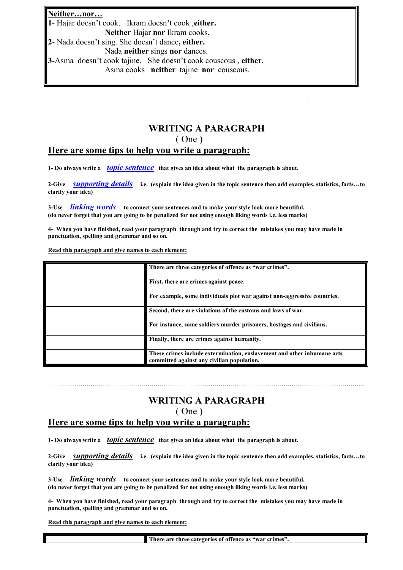#### **Neither…nor…**

**1**- Hajar doesn't cook. Ikram doesn't cook ,**either. Neither** Hajar **nor** Ikram cooks.

**2**- Nada doesn't sing. She doesn't dance**, either.** Nada **neither** sings **nor** dances.

**3-**Asma doesn't cook tajine. She doesn't cook couscous , **either.**

Asma cooks **neither** tajine **nor** couscous.

#### **WRITING A PARAGRAPH**

( One )

#### **Here are some tips to help you write a paragraph:**

**1- Do always write a** *topic sentence* **that gives an idea about what the paragraph is about.**

**2-Give** *supporting details* **i.e. (explain the idea given in the topic sentence then add examples, statistics, facts…to clarify your idea)**

**3-Use** *linking words* **to connect your sentences and to make your style look more beautiful. (do never forget that you are going to be penalized for not using enough liking words i.e. less marks)**

**4- When you have finished, read your paragraph through and try to correct the mistakes you may have made in punctuation, spelling and grammar and so on.**

**Read this paragraph and give names to each element:**

| There are three categories of offence as "war crimes".                                                                |
|-----------------------------------------------------------------------------------------------------------------------|
| First, there are crimes against peace.                                                                                |
| For example, some individuals plot war against non-aggressive countries.                                              |
| Second, there are violations of the customs and laws of war.                                                          |
| For instance, some soldiers murder prisoners, hostages and civilians.                                                 |
| Finally, there are crimes against humanity.                                                                           |
| These crimes include extermination, enslavement and other inhumane acts<br>committed against any civilian population. |

### **WRITING A PARAGRAPH** ( One )

…………………………………………………………………………………………………………………………………………

#### **Here are some tips to help you write a paragraph:**

**1- Do always write a** *topic sentence* **that gives an idea about what the paragraph is about.**

**2-Give** *supporting details* **i.e. (explain the idea given in the topic sentence then add examples, statistics, facts…to clarify your idea)**

**3-Use** *linking words* **to connect your sentences and to make your style look more beautiful. (do never forget that you are going to be penalized for not using enough liking words i.e. less marks)**

**4- When you have finished, read your paragraph through and try to correct the mistakes you may have made in punctuation, spelling and grammar and so on.**

**Read this paragraph and give names to each element:**

**There are three categories of offence as "war crimes".**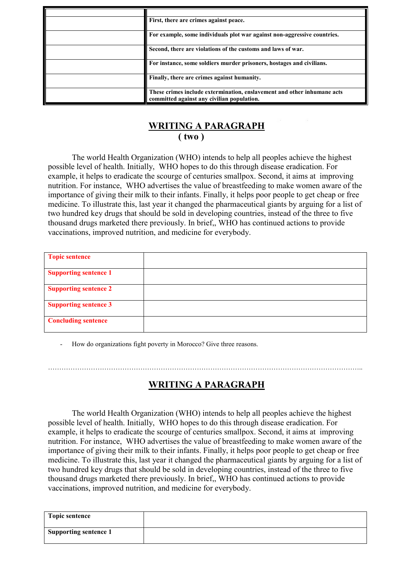| First, there are crimes against peace.                                                                                |
|-----------------------------------------------------------------------------------------------------------------------|
| For example, some individuals plot war against non-aggressive countries.                                              |
| Second, there are violations of the customs and laws of war.                                                          |
| For instance, some soldiers murder prisoners, hostages and civilians.                                                 |
| Finally, there are crimes against humanity.                                                                           |
| These crimes include extermination, enslavement and other inhumane acts<br>committed against any civilian population. |

# **WRITING A PARAGRAPH ( two )**

The world Health Organization (WHO) intends to help all peoples achieve the highest possible level of health. Initially, WHO hopes to do this through disease eradication. For example, it helps to eradicate the scourge of centuries smallpox. Second, it aims at improving nutrition. For instance, WHO advertises the value of breastfeeding to make women aware of the importance of giving their milk to their infants. Finally, it helps poor people to get cheap or free medicine. To illustrate this, last year it changed the pharmaceutical giants by arguing for a list of two hundred key drugs that should be sold in developing countries, instead of the three to five thousand drugs marketed there previously. In brief,, WHO has continued actions to provide vaccinations, improved nutrition, and medicine for everybody.

| <b>Topic sentence</b>        |  |
|------------------------------|--|
| <b>Supporting sentence 1</b> |  |
| <b>Supporting sentence 2</b> |  |
| <b>Supporting sentence 3</b> |  |
| <b>Concluding sentence</b>   |  |

How do organizations fight poverty in Morocco? Give three reasons.

# **WRITING A PARAGRAPH**

…………………………………………………………………………………………………………………………..

The world Health Organization (WHO) intends to help all peoples achieve the highest possible level of health. Initially, WHO hopes to do this through disease eradication. For example, it helps to eradicate the scourge of centuries smallpox. Second, it aims at improving nutrition. For instance, WHO advertises the value of breastfeeding to make women aware of the importance of giving their milk to their infants. Finally, it helps poor people to get cheap or free medicine. To illustrate this, last year it changed the pharmaceutical giants by arguing for a list of two hundred key drugs that should be sold in developing countries, instead of the three to five thousand drugs marketed there previously. In brief,, WHO has continued actions to provide vaccinations, improved nutrition, and medicine for everybody.

| <b>Topic sentence</b>        |  |
|------------------------------|--|
| <b>Supporting sentence 1</b> |  |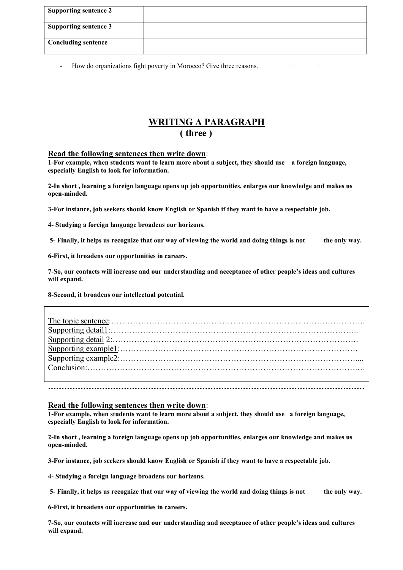| <b>Supporting sentence 2</b> |  |
|------------------------------|--|
| <b>Supporting sentence 3</b> |  |
| <b>Concluding sentence</b>   |  |

- How do organizations fight poverty in Morocco? Give three reasons.

### **WRITING A PARAGRAPH ( three )**

#### **Read the following sentences then write down**:

**1-For example, when students want to learn more about a subject, they should use a foreign language, especially English to look for information.**

**2-In short , learning a foreign language opens up job opportunities, enlarges our knowledge and makes us open-minded.**

**3-For instance, job seekers should know English or Spanish if they want to have a respectable job.**

**4- Studying a foreign language broadens our horizons.**

**5- Finally, it helps us recognize that our way of viewing the world and doing things is not the only way.**

**6-First, it broadens our opportunities in careers.**

**7-So, our contacts will increase and our understanding and acceptance of other people's ideas and cultures will expand.**

**8-Second, it broadens our intellectual potential.**

#### **Read the following sentences then write down**:

**1-For example, when students want to learn more about a subject, they should use a foreign language, especially English to look for information.**

**2-In short , learning a foreign language opens up job opportunities, enlarges our knowledge and makes us open-minded.**

**3-For instance, job seekers should know English or Spanish if they want to have a respectable job.**

**4- Studying a foreign language broadens our horizons.**

**5- Finally, it helps us recognize that our way of viewing the world and doing things is not the only way.**

**6-First, it broadens our opportunities in careers.**

**7-So, our contacts will increase and our understanding and acceptance of other people's ideas and cultures will expand.**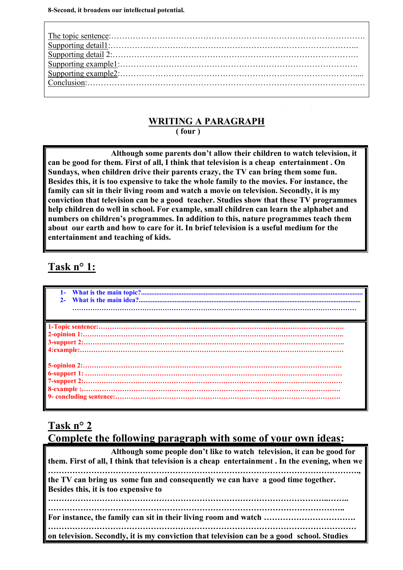# **WRITING A PARAGRAPH**

**( four )**

**Although some parents don't allow their children to watch television, it can be good for them. First of all, I think that television is a cheap entertainment . On Sundays, when children drive their parents crazy, the TV can bring them some fun. Besides this, it is too expensive to take the whole family to the movies. For instance, the family can sit in their living room and watch a movie on television. Secondly, it is my conviction that television can be a good teacher. Studies show that these TV programmes help children do well in school. For example, small children can learn the alphabet and numbers on children's programmes. In addition to this, nature programmes teach them about our earth and how to care for it. In brief television is a useful medium for the entertainment and teaching of kids.**

# **Task n° 1:**

| $1-$                                                                                                                                                                                                                                                                                                                                                                                                                                      |
|-------------------------------------------------------------------------------------------------------------------------------------------------------------------------------------------------------------------------------------------------------------------------------------------------------------------------------------------------------------------------------------------------------------------------------------------|
|                                                                                                                                                                                                                                                                                                                                                                                                                                           |
|                                                                                                                                                                                                                                                                                                                                                                                                                                           |
|                                                                                                                                                                                                                                                                                                                                                                                                                                           |
|                                                                                                                                                                                                                                                                                                                                                                                                                                           |
| $\begin{minipage}{0.9\linewidth} \textbf{2-opinion 1:}\hspace*{1.5cm}\textbf{3-support 2:}\hspace*{1.5cm}\textbf{3-support 2:}\hspace*{1.5cm}\textbf{3-support 3:}\hspace*{1.5cm}\textbf{3-support 4:}\hspace*{1.5cm}\textbf{3-support 5:}\hspace*{1.5cm}\textbf{3-support 6:}\hspace*{1.5cm}\textbf{3-support 7:}\hspace*{1.5cm}\textbf{3-support 8:}\hspace*{1.5cm}\textbf{3-support 9:}\hspace*{1.5cm}\textbf{3-supert 1:}\hspace*{1.$ |
|                                                                                                                                                                                                                                                                                                                                                                                                                                           |
|                                                                                                                                                                                                                                                                                                                                                                                                                                           |
|                                                                                                                                                                                                                                                                                                                                                                                                                                           |
|                                                                                                                                                                                                                                                                                                                                                                                                                                           |
|                                                                                                                                                                                                                                                                                                                                                                                                                                           |
|                                                                                                                                                                                                                                                                                                                                                                                                                                           |
|                                                                                                                                                                                                                                                                                                                                                                                                                                           |
|                                                                                                                                                                                                                                                                                                                                                                                                                                           |
|                                                                                                                                                                                                                                                                                                                                                                                                                                           |

# **Task n° 2**

# **Complete the following paragraph with some of your own ideas:**

| Although some people don't like to watch television, it can be good for<br>them. First of all, I think that television is a cheap entertainment. In the evening, when we |
|--------------------------------------------------------------------------------------------------------------------------------------------------------------------------|
| the TV can bring us some fun and consequently we can have a good time together.<br>Besides this, it is too expensive to                                                  |
|                                                                                                                                                                          |
| on television. Secondly, it is my conviction that television can be a good school. Studies                                                                               |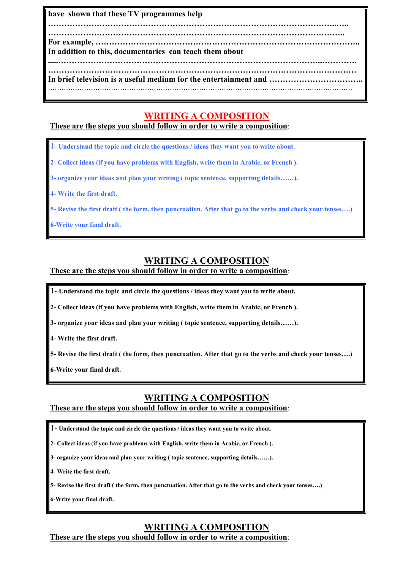**have shown that these TV programmes help**

**……………………………………………………………………………………………..….. ………………………………………………………………………………………………..**

**For example, ……………………………………………………………………………………..**

**In addition to this, documentaries can teach them about**

**.....……………………………………………………………………………………..…………. …………………………………………………………………………………………………… In brief television is a useful medium for the entertainment and ……………………………..**

# **WRITING A COMPOSITION**

**These are the steps you should follow in order to write a composition**:

1- **Understand the topic and circle the questions / ideas they want you to write about.**

**2- Collect ideas (if you have problems with English, write them in Arabic, or French ).**

**3- organize your ideas and plan your writing ( topic sentence, supporting details……).**

**4- Write the first draft.**

**5- Revise the first draft ( the form, then punctuation. After that go to the verbs and check your tenses….)**

**6-Write your final draft.**

# **WRITING A COMPOSITION**

#### **These are the steps you should follow in order to write a composition**:

1- **Understand the topic and circle the questions / ideas they want you to write about.**

**2- Collect ideas (if you have problems with English, write them in Arabic, or French ).**

**3- organize your ideas and plan your writing ( topic sentence, supporting details……).**

**4- Write the first draft.**

**5- Revise the first draft ( the form, then punctuation. After that go to the verbs and check your tenses….)**

**6-Write your final draft.**

# **WRITING A COMPOSITION**

#### **These are the steps you should follow in order to write a composition**:

- 1- **Understand the topic and circle the questions / ideas they want you to write about.**
- **2- Collect ideas (if you have problems with English, write them in Arabic, or French ).**
- **3- organize your ideas and plan your writing ( topic sentence, supporting details……).**
- **4- Write the first draft.**
- **5- Revise the first draft ( the form, then punctuation. After that go to the verbs and check your tenses….)**

**6-Write your final draft.**

# **WRITING A COMPOSITION**

**These are the steps you should follow in order to write a composition**: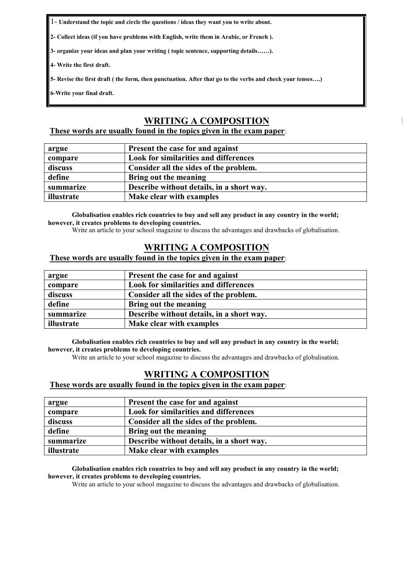1- **Understand the topic and circle the questions / ideas they want you to write about.**

**2- Collect ideas (if you have problems with English, write them in Arabic, or French ).**

**3- organize your ideas and plan your writing ( topic sentence, supporting details……).**

**4- Write the first draft.**

**5- Revise the first draft ( the form, then punctuation. After that go to the verbs and check your tenses….)**

**6-Write your final draft.**

#### **WRITING A COMPOSITION**

**[For More 9alami.com](http://www.9alami.com/)**

#### **These words are usually found in the topics given in the exam paper**:

| argue      | Present the case for and against             |
|------------|----------------------------------------------|
| compare    | <b>Look for similarities and differences</b> |
| discuss    | Consider all the sides of the problem.       |
| define     | Bring out the meaning                        |
| summarize  | Describe without details, in a short way.    |
| illustrate | Make clear with examples                     |

**Globalisation enables rich countries to buy and sell any product in any country in the world; however, it creates problems to developing countries.**

Write an article to your school magazine to discuss the advantages and drawbacks of globalisation.

#### **WRITING A COMPOSITION**

#### **These words are usually found in the topics given in the exam paper**:

| argue      | Present the case for and against             |
|------------|----------------------------------------------|
| compare    | <b>Look for similarities and differences</b> |
| discuss    | Consider all the sides of the problem.       |
| define     | Bring out the meaning                        |
| summarize  | Describe without details, in a short way.    |
| illustrate | Make clear with examples                     |

**Globalisation enables rich countries to buy and sell any product in any country in the world; however, it creates problems to developing countries.**

Write an article to your school magazine to discuss the advantages and drawbacks of globalisation.

#### **WRITING A COMPOSITION**

#### **These words are usually found in the topics given in the exam paper**:

| argue      | Present the case for and against             |
|------------|----------------------------------------------|
| compare    | <b>Look for similarities and differences</b> |
| discuss    | Consider all the sides of the problem.       |
| define     | Bring out the meaning                        |
| summarize  | Describe without details, in a short way.    |
| illustrate | Make clear with examples                     |

**Globalisation enables rich countries to buy and sell any product in any country in the world; however, it creates problems to developing countries.**

Write an article to your school magazine to discuss the advantages and drawbacks of globalisation.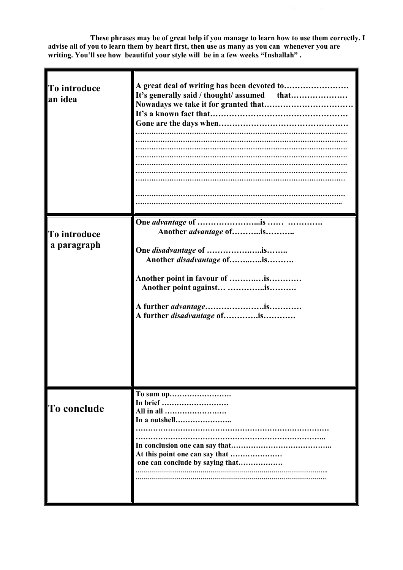**These phrases may be of great help if you manage to learn how to use them correctly. I advise all of you to learn them by heart first, then use as many as you can whenever you are writing. You'll see how beautiful your style will be in a few weeks "Inshallah" .**

| To introduce<br>an idea     | A great deal of writing has been devoted to                                                                                                                                             |  |
|-----------------------------|-----------------------------------------------------------------------------------------------------------------------------------------------------------------------------------------|--|
| To introduce<br>a paragraph | Another advantage ofis<br>One <i>disadvantage</i> of is<br>Another disadvantage ofis<br>Another point in favour of is<br>Another point against is<br>A further <i>disadvantage</i> ofis |  |
| To conclude                 | In brief<br>All in all<br>In a nutshell<br>At this point one can say that<br>one can conclude by saying that                                                                            |  |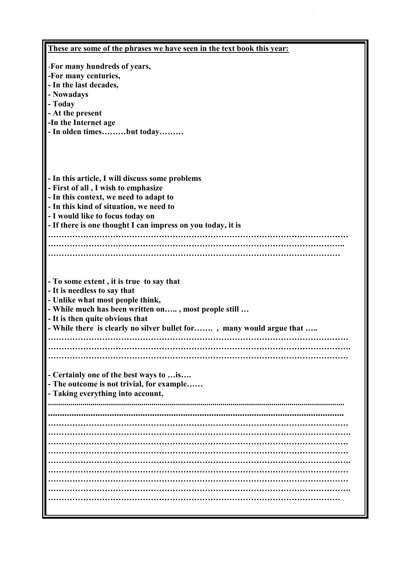| These are some of the phrases we have seen in the text book this year: |  |
|------------------------------------------------------------------------|--|
| -For many hundreds of years,                                           |  |
| -For many centuries,                                                   |  |
| - In the last decades,                                                 |  |
| - Nowadays                                                             |  |
| - Today                                                                |  |
| - At the present                                                       |  |
| -In the Internet age                                                   |  |
| - In olden timesbut today                                              |  |
|                                                                        |  |
|                                                                        |  |
|                                                                        |  |
|                                                                        |  |
| - In this article, I will discuss some problems                        |  |
| - First of all, I wish to emphasize                                    |  |
| - In this context, we need to adapt to                                 |  |
| - In this kind of situation, we need to                                |  |
| - I would like to focus today on                                       |  |
| - If there is one thought I can impress on you today, it is            |  |
|                                                                        |  |
|                                                                        |  |
|                                                                        |  |
|                                                                        |  |
|                                                                        |  |
| - To some extent, it is true to say that                               |  |
| - It is needless to say that                                           |  |
| - Unlike what most people think,                                       |  |
| - While much has been written on, most people still                    |  |
| - It is then quite obvious that                                        |  |
| - While there is clearly no silver bullet for, many would argue that   |  |
|                                                                        |  |
|                                                                        |  |
|                                                                        |  |
|                                                                        |  |
| - Certainly one of the best ways to  is                                |  |
| - The outcome is not trivial, for example                              |  |
| - Taking everything into account,                                      |  |
|                                                                        |  |
|                                                                        |  |
|                                                                        |  |
|                                                                        |  |
|                                                                        |  |
|                                                                        |  |
|                                                                        |  |
|                                                                        |  |
|                                                                        |  |
|                                                                        |  |
|                                                                        |  |
|                                                                        |  |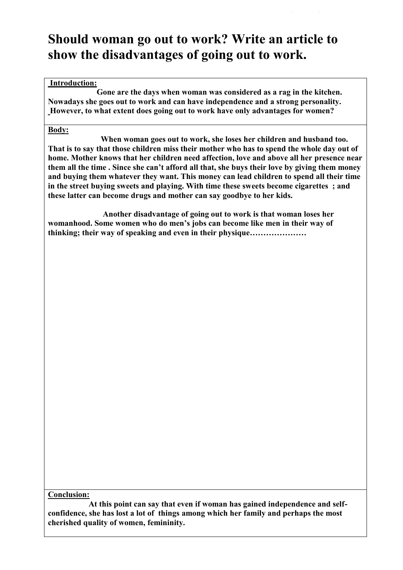# **Should woman go out to work? Write an article to show the disadvantages of going out to work.**

#### **Introduction:**

**Gone are the days when woman was considered as a rag in the kitchen. Nowadays she goes out to work and can have independence and a strong personality. However, to what extent does going out to work have only advantages for women?**

#### **Body:**

**When woman goes out to work, she loses her children and husband too. That is to say that those children miss their mother who has to spend the whole day out of home. Mother knows that her children need affection, love and above all her presence near them all the time . Since she can't afford all that, she buys their love by giving them money and buying them whatever they want. This money can lead children to spend all their time in the street buying sweets and playing. With time these sweets become cigarettes ; and these latter can become drugs and mother can say goodbye to her kids.**

**Another disadvantage of going out to work is that woman loses her womanhood. Some women who do men's jobs can become like men in their way of thinking; their way of speaking and even in their physique…………………**

**Conclusion:**

**At this point can say that even if woman has gained independence and self confidence, she has lost a lot of things among which her family and perhaps the most cherished quality of women, femininity.**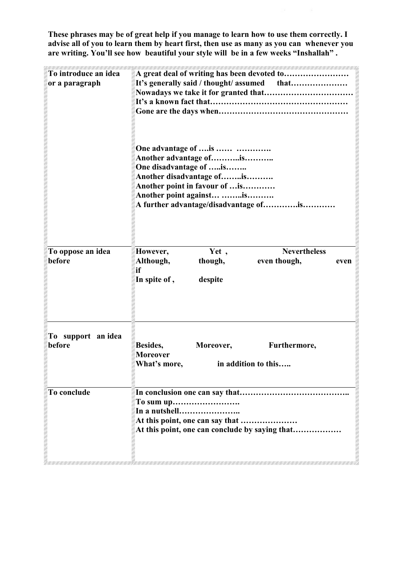**These phrases may be of great help if you manage to learn how to use them correctly. I advise all of you to learn them by heart first, then use as many as you can whenever you are writing. You'll see how beautiful your style will be in a few weeks "Inshallah" .**

| To introduce an idea<br>or a paragraph | A great deal of writing has been devoted to                                                                                                                                                                  |
|----------------------------------------|--------------------------------------------------------------------------------------------------------------------------------------------------------------------------------------------------------------|
|                                        | One advantage of  is<br>Another advantage ofis<br>One disadvantage of is<br>Another disadvantage ofis<br>Another point in favour of  is<br>Another point against is<br>A further advantage/disadvantage ofis |
| To oppose an idea<br>before            | <b>Nevertheless</b><br>Yet,<br>However,<br>even though,<br>Although,<br>though,<br>even<br>if<br>In spite of,<br>despite                                                                                     |
| To support an idea<br>before           | Besides,<br>Moreover,<br>Furthermore,<br><b>Moreover</b><br>What's more,<br>in addition to this                                                                                                              |
| To conclude                            | In a nutshell<br>At this point, one can say that<br>At this point, one can conclude by saying that                                                                                                           |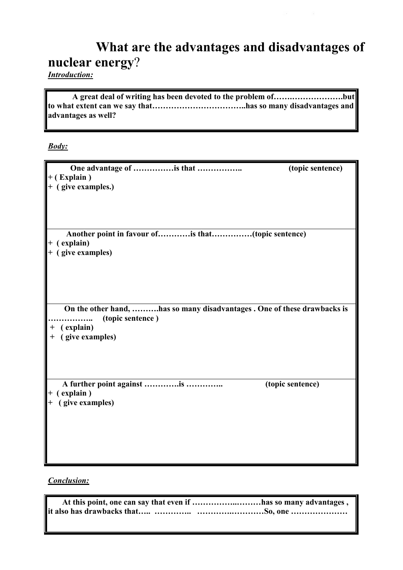# **What are the advantages and disadvantages of nuclear energy**?

*Introduction:*

**A great deal of writing has been devoted to the problem of…….……………….but to what extent can we say that……………………………..has so many disadvantages and advantages as well?**

*Body:*

| (topic sentence)                                                         |
|--------------------------------------------------------------------------|
| Another point in favour ofis that(topic sentence)                        |
| On the other hand, has so many disadvantages . One of these drawbacks is |
| (topic sentence)                                                         |
|                                                                          |

*Conclusion:*

| At this point, one can say that even if has so many advantages, |
|-----------------------------------------------------------------|
|                                                                 |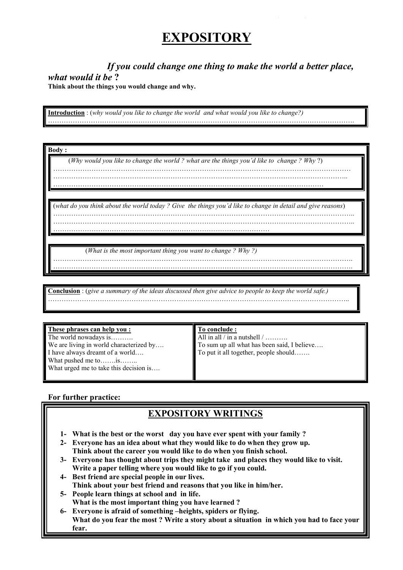# **EXPOSITORY**

*If you could change one thing to make the world a better place,*

*what would it be* **?**

**Think about the things you would change and why.**

**Introduction** : (*why would you like to change the world and what would you like to change?)* ……………………………………………………………………………………………………………………….

**Body :**

(*Why would you like to change the world ? what are the things you'd like to change ? Why* ?)

………………………………………………………………………………………………………………….. …………………………………………………………………………………………………………

(*what do you think about the world today ? Give the things you'd like to change in detail and give reasons*)

……………………………………………………………………………………………………………………..

…………………………………………………………………………………………………………………….

……………………………………………………………………………………

(*What is the most important thing you want to change ? Why ?)* …………………………………………………………………………………………………………………….

**Conclusion** : (*give a summary of the ideas discussed then give advice to people to keep the world safe.)* ……………………………………………………………………………………………………………………..

**These phrases can help you :**

The world nowadays is………. We are living in world characterized by.... I have always dreamt of a world…. What pushed me to…….is…….. What urged me to take this decision is....

**To conclude :**

All in all / in a nutshell  $/$  ........ To sum up all what has been said, I believe…. To put it all together, people should…….

#### **For further practice:**

# **EXPOSITORY WRITINGS**

- **1- What is the best or the worst day you have ever spent with your family ?**
- **2- Everyone has an idea about what they would like to do when they grow up. Think about the career you would like to do when you finish school.**
- **3- Everyone has thought about trips they might take and places they would like to visit. Write a paper telling where you would like to go if you could.**
- **4- Best friend are special people in our lives. Think about your best friend and reasons that you like in him/her.**
- **5- People learn things at school and in life. What is the most important thing you have learned ?**
- **6- Everyone is afraid of something –heights, spiders or flying. What do you fear the most ? Write a story about a situation in which you had to face your fear.**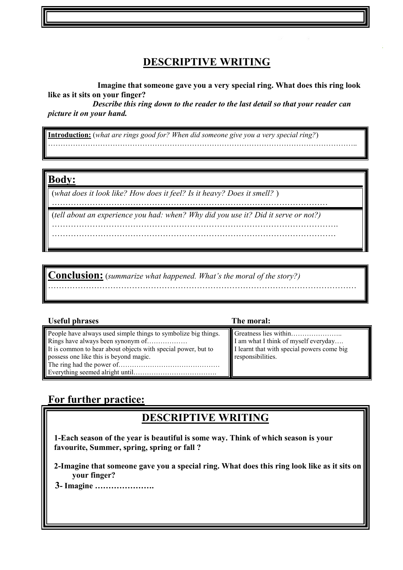# **DESCRIPTIVE WRITING**

**Imagine that someone gave you a very special ring. What does this ring look like as it sits on your finger?**

*Describe this ring down to the reader to the last detail so that your reader can picture it on your hand.*

**Introduction:** (*what are rings good for? When did someone give you a very special ring?*) ……………………………………………………………………………………………………………..

#### **Body:**

(*what does it look like? How does it feel? Is it heavy? Does it smell?* )

…………………………………………………………………………………………

(*tell about an experience you had: when? Why did you use it? Did it serve or not?)* …………………………………………………………………………………………….

……………………………………………………………………………………………

**Conclusion:** (*summarize what happened. What's the moral of the story?)* ……………………………………………………………………………………………………

|  |  | <b>Useful phrases</b> |
|--|--|-----------------------|
|--|--|-----------------------|

People have always used simple things to symbolize big things. Rings have always been synonym of……………… It is common to hear about objects with special power, but to possess one like this is beyond magic. The ring had the power of……………………………………… Everything seemed alright until……………………………….

**The moral:** 

Greatness lies within………………….. I am what I think of myself everyday…. I learnt that with special powers come big responsibilities.

# **For further practice:**

# **DESCRIPTIVE WRITING**

**1-Each season of the year is beautiful is some way. Think of which season is your favourite, Summer, spring, spring or fall ?**

**2-Imagine that someone gave you a special ring. What does this ring look like as it sits on your finger?**

**3- Imagine ………………….**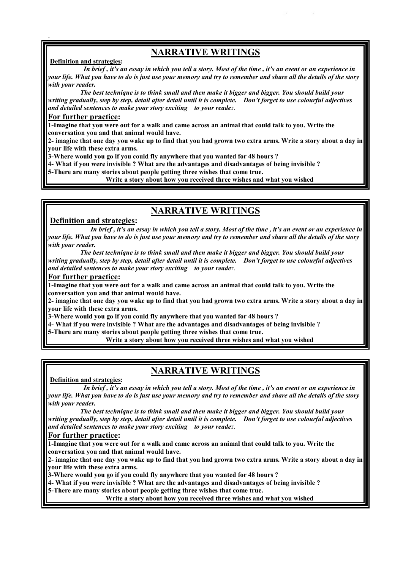# **NARRATIVE WRITINGS**

#### **Definition and strategies:**

.

*In brief , it's an essay in which you tell a story. Most of the time , it's an event or an experience in your life. What you have to do is just use your memory and try to remember and share all the details of the story with your reader.*

*The best technique is to think small and then make it bigger and bigger. You should build your writing gradually, step by step, detail after detail until it is complete. Don't forget to use colourful adjectives and detailed sentences to make your story exciting to your reade*r.

#### **For further practice:**

**1-Imagine that you were out for a walk and came across an animal that could talk to you. Write the conversation you and that animal would have.**

**2- imagine that one day you wake up to find that you had grown two extra arms. Write a story about a day in your life with these extra arms.**

**3-Where would you go if you could fly anywhere that you wanted for 48 hours ?**

**4- What if you were invisible ? What are the advantages and disadvantages of being invisible ?**

**5-There are many stories about people getting three wishes that come true.**

**Write a story about how you received three wishes and what you wished**

### **NARRATIVE WRITINGS**

#### **Definition and strategies:**

*In brief , it's an essay in which you tell a story. Most of the time , it's an event or an experience in your life. What you have to do is just use your memory and try to remember and share all the details of the story with your reader.*

*The best technique is to think small and then make it bigger and bigger. You should build your writing gradually, step by step, detail after detail until it is complete. Don't forget to use colourful adjectives and detailed sentences to make your story exciting to your reade*r.

#### **For further practice:**

**1-Imagine that you were out for a walk and came across an animal that could talk to you. Write the conversation you and that animal would have.**

**2- imagine that one day you wake up to find that you had grown two extra arms. Write a story about a day in your life with these extra arms.**

**3-Where would you go if you could fly anywhere that you wanted for 48 hours ?**

**4- What if you were invisible ? What are the advantages and disadvantages of being invisible ?**

**5-There are many stories about people getting three wishes that come true.**

**Write a story about how you received three wishes and what you wished**

# **NARRATIVE WRITINGS**

**Definition and strategies:**

*In brief , it's an essay in which you tell a story. Most of the time , it's an event or an experience in your life. What you have to do is just use your memory and try to remember and share all the details of the story with your reader.*

*The best technique is to think small and then make it bigger and bigger. You should build your writing gradually, step by step, detail after detail until it is complete. Don't forget to use colourful adjectives and detailed sentences to make your story exciting to your reade*r.

#### **For further practice:**

**1-Imagine that you were out for a walk and came across an animal that could talk to you. Write the conversation you and that animal would have.**

**2- imagine that one day you wake up to find that you had grown two extra arms. Write a story about a day in your life with these extra arms.**

**3-Where would you go if you could fly anywhere that you wanted for 48 hours ?**

**4- What if you were invisible ? What are the advantages and disadvantages of being invisible ?**

**5-There are many stories about people getting three wishes that come true.**

**Write a story about how you received three wishes and what you wished**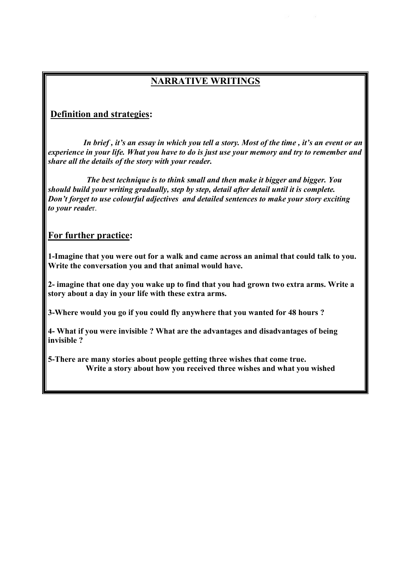# **NARRATIVE WRITINGS**

### **Definition and strategies:**

*In brief , it's an essay in which you tell a story. Most of the time , it's an event or an experience in your life. What you have to do is just use your memory and try to remember and share all the details of the story with your reader.*

*The best technique is to think small and then make it bigger and bigger. You should build your writing gradually, step by step, detail after detail until it is complete. Don't forget to use colourful adjectives and detailed sentences to make your story exciting to your reade*r.

### **For further practice:**

**1-Imagine that you were out for a walk and came across an animal that could talk to you. Write the conversation you and that animal would have.**

**2- imagine that one day you wake up to find that you had grown two extra arms. Write a story about a day in your life with these extra arms.**

**3-Where would you go if you could fly anywhere that you wanted for 48 hours ?**

**4- What if you were invisible ? What are the advantages and disadvantages of being invisible ?**

**5-There are many stories about people getting three wishes that come true. Write a story about how you received three wishes and what you wished**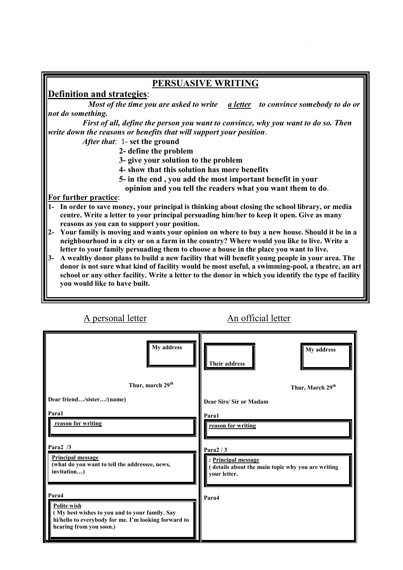| PERSUASIVE WRITING                                                                                                                                                                                       |
|----------------------------------------------------------------------------------------------------------------------------------------------------------------------------------------------------------|
| <b>Definition and strategies:</b>                                                                                                                                                                        |
| Most of the time you are asked to write a letter to convince somebody to do or                                                                                                                           |
| not do something.                                                                                                                                                                                        |
| First of all, define the person you want to convince, why you want to do so. Then                                                                                                                        |
| write down the reasons or benefits that will support your position.                                                                                                                                      |
| <i>After that</i> : 1- set the ground                                                                                                                                                                    |
| 2- define the problem                                                                                                                                                                                    |
| 3- give your solution to the problem                                                                                                                                                                     |
| 4- show that this solution has more benefits                                                                                                                                                             |
| 5- in the end, you add the most important benefit in your                                                                                                                                                |
| opinion and you tell the readers what you want them to do.                                                                                                                                               |
| For further practice:                                                                                                                                                                                    |
| 1- In order to save money, your principal is thinking about closing the school library, or media                                                                                                         |
| centre. Write a letter to your principal persuading him/her to keep it open. Give as many                                                                                                                |
| reasons as you can to support your position.                                                                                                                                                             |
| Your family is moving and wants your opinion on where to buy a new house. Should it be in a<br>$2 -$                                                                                                     |
| neighbourhood in a city or on a farm in the country? Where would you like to live. Write a                                                                                                               |
| letter to your family persuading them to choose a house in the place you want to live.                                                                                                                   |
| A wealthy donor plans to build a new facility that will benefit young people in your area. The<br>$3-$                                                                                                   |
| donor is not sure what kind of facility would be most useful, a swimming-pool, a theatre, an art<br>school or any other facility. Write a letter to the donor in which you identify the type of facility |
| you would like to have built.                                                                                                                                                                            |
|                                                                                                                                                                                                          |

| A personal letter                                                                                                                                         | An official letter                                                                       |
|-----------------------------------------------------------------------------------------------------------------------------------------------------------|------------------------------------------------------------------------------------------|
| My address                                                                                                                                                | My address<br>Their address                                                              |
| Thur, march 29 <sup>th</sup>                                                                                                                              | Thur, March 29 <sup>th</sup>                                                             |
| Dear friend/sister/(name)                                                                                                                                 | Dear Sirs/Sir or Madam                                                                   |
| Para1<br>reason for writing<br>Para $2/3$<br><b>Principal message</b>                                                                                     | Para1<br>reason for writing<br>Para $2/3$                                                |
| (what do you want to tell the addressee, news,<br>invitation)                                                                                             | : Principal message<br>(details about the main topic why you are writing<br>your letter. |
| Para4<br>Polite wish<br>(My best wishes to you and to your family. Say<br>hi/hello to everybody for me. I'm looking forward to<br>hearing from you soon.) | Para4                                                                                    |

 $\overline{\phantom{a}}$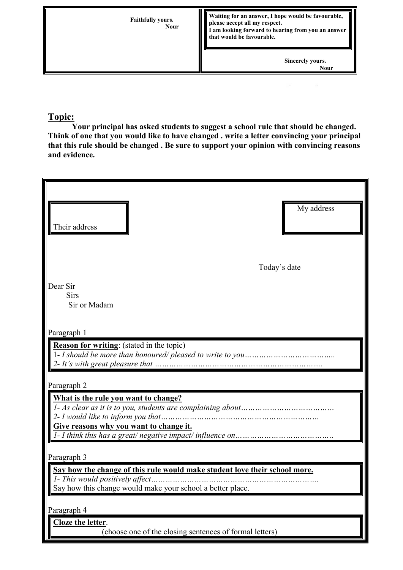

# **Topic:**

**Your principal has asked students to suggest a school rule that should be changed. Think of one that you would like to have changed . write a letter convincing your principal that this rule should be changed . Be sure to support your opinion with convincing reasons and evidence.**

| Their address                                                                                                                                                               | My address |
|-----------------------------------------------------------------------------------------------------------------------------------------------------------------------------|------------|
| Today's date                                                                                                                                                                |            |
| Dear Sir<br>Sirs<br>Sir or Madam                                                                                                                                            |            |
| Paragraph 1                                                                                                                                                                 |            |
| <b>Reason for writing:</b> (stated in the topic)                                                                                                                            |            |
| Paragraph 2                                                                                                                                                                 |            |
| What is the rule you want to change?<br>2- I would like to inform you that<br><br>Give reasons why you want to change it.                                                   |            |
| Paragraph 3                                                                                                                                                                 |            |
| Say how the change of this rule would make student love their school more.<br>1- This would positively affect<br>Say how this change would make your school a better place. |            |
| Paragraph 4                                                                                                                                                                 |            |
| Cloze the letter.<br>(choose one of the closing sentences of formal letters)                                                                                                |            |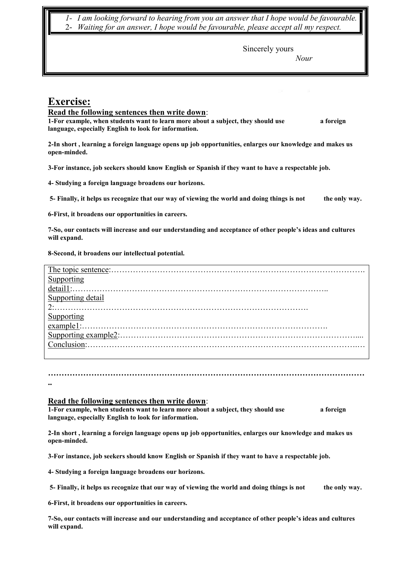*1- I am looking forward to hearing from you an answer that I hope would be favourable.* 2- *Waiting for an answer, I hope would be favourable, please accept all my respect.*

Sincerely yours

*Nour*

# **Exercise:**

#### **Read the following sentences then write down**:

**1-For example, when students want to learn more about a subject, they should use** a foreign **language, especially English to look for information.**

**2-In short , learning a foreign language opens up job opportunities, enlarges our knowledge and makes us open-minded.**

**3-For instance, job seekers should know English or Spanish if they want to have a respectable job.**

**4- Studying a foreign language broadens our horizons.**

**5- Finally, it helps us recognize that our way of viewing the world and doing things is not the only way.**

**6-First, it broadens our opportunities in careers.**

**7-So, our contacts will increase and our understanding and acceptance of other people's ideas and cultures will expand.**

#### **8-Second, it broadens our intellectual potential.**

| The topic sentence: |  |
|---------------------|--|
|                     |  |
| $det$ ail1 $\cdot$  |  |
| ing detail          |  |
| າ.                  |  |
|                     |  |
|                     |  |
|                     |  |
|                     |  |
|                     |  |

**………………………………………………………………………………………………………**

# **..Read the following sentences then write down**:

**1-For example, when students want to learn more about a subject, they should use a foreign language, especially English to look for information.**

**2-In short , learning a foreign language opens up job opportunities, enlarges our knowledge and makes us open-minded.**

**3-For instance, job seekers should know English or Spanish if they want to have a respectable job.**

**4- Studying a foreign language broadens our horizons.**

**5- Finally, it helps us recognize that our way of viewing the world and doing things is not the only way.**

**6-First, it broadens our opportunities in careers.**

**7-So, our contacts will increase and our understanding and acceptance of other people's ideas and cultures will expand.**